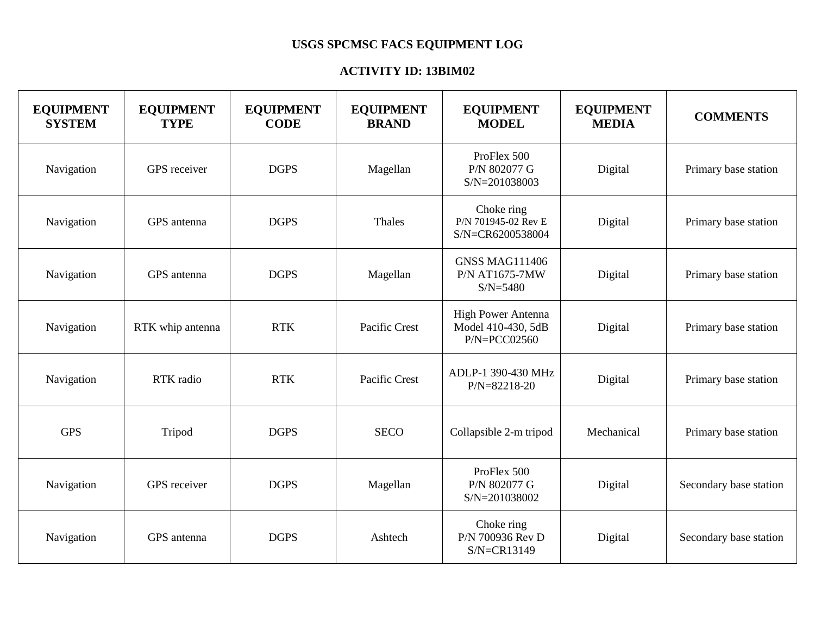## **USGS SPCMSC FACS EQUIPMENT LOG**

## **ACTIVITY ID: 13BIM02**

| <b>EQUIPMENT</b><br><b>SYSTEM</b> | <b>EQUIPMENT</b><br><b>TYPE</b> | <b>EQUIPMENT</b><br><b>CODE</b> | <b>EQUIPMENT</b><br><b>BRAND</b> | <b>EQUIPMENT</b><br><b>MODEL</b>                               | <b>EQUIPMENT</b><br><b>MEDIA</b> | <b>COMMENTS</b>        |
|-----------------------------------|---------------------------------|---------------------------------|----------------------------------|----------------------------------------------------------------|----------------------------------|------------------------|
| Navigation                        | GPS receiver                    | <b>DGPS</b>                     | Magellan                         | ProFlex 500<br>P/N 802077 G<br>S/N=201038003                   | Digital                          | Primary base station   |
| Navigation                        | GPS antenna                     | <b>DGPS</b>                     | Thales                           | Choke ring<br>P/N 701945-02 Rev E<br>S/N=CR6200538004          | Digital                          | Primary base station   |
| Navigation                        | GPS antenna                     | <b>DGPS</b>                     | Magellan                         | <b>GNSS MAG111406</b><br><b>P/N AT1675-7MW</b><br>$S/N = 5480$ | Digital                          | Primary base station   |
| Navigation                        | RTK whip antenna                | <b>RTK</b>                      | Pacific Crest                    | High Power Antenna<br>Model 410-430, 5dB<br>$P/N = PCCO2560$   | Digital                          | Primary base station   |
| Navigation                        | RTK radio                       | <b>RTK</b>                      | Pacific Crest                    | ADLP-1 390-430 MHz<br>P/N=82218-20                             | Digital                          | Primary base station   |
| <b>GPS</b>                        | Tripod                          | <b>DGPS</b>                     | <b>SECO</b>                      | Collapsible 2-m tripod                                         | Mechanical                       | Primary base station   |
| Navigation                        | GPS receiver                    | <b>DGPS</b>                     | Magellan                         | ProFlex 500<br>P/N 802077 G<br>S/N=201038002                   | Digital                          | Secondary base station |
| Navigation                        | GPS antenna                     | <b>DGPS</b>                     | Ashtech                          | Choke ring<br>P/N 700936 Rev D<br>S/N=CR13149                  | Digital                          | Secondary base station |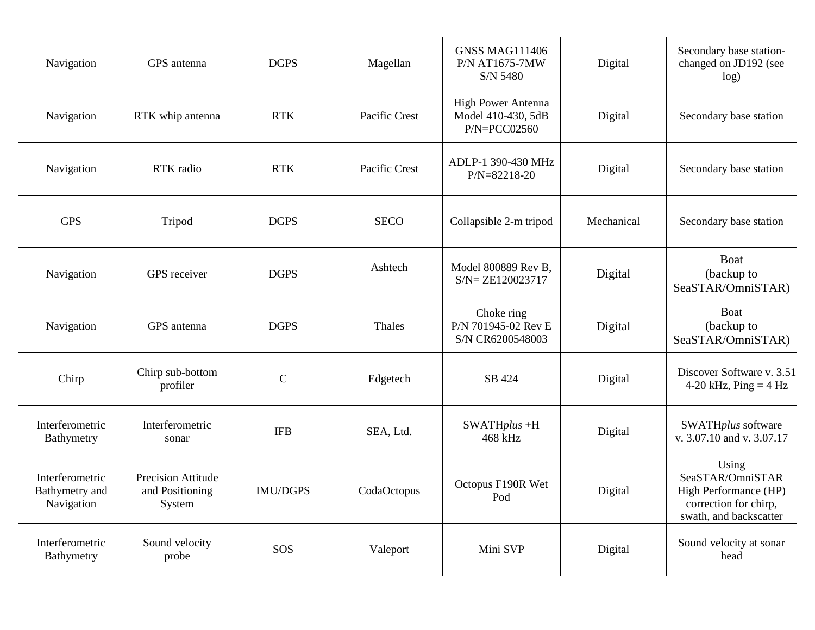| Navigation                                      | GPS antenna                                     | <b>DGPS</b>     | Magellan      | <b>GNSS MAG111406</b><br><b>P/N AT1675-7MW</b><br>S/N 5480   | Digital    | Secondary base station-<br>changed on JD192 (see<br>log)                                              |
|-------------------------------------------------|-------------------------------------------------|-----------------|---------------|--------------------------------------------------------------|------------|-------------------------------------------------------------------------------------------------------|
| Navigation                                      | RTK whip antenna                                | <b>RTK</b>      | Pacific Crest | High Power Antenna<br>Model 410-430, 5dB<br>$P/N = PCCO2560$ | Digital    | Secondary base station                                                                                |
| Navigation                                      | RTK radio                                       | <b>RTK</b>      | Pacific Crest | ADLP-1 390-430 MHz<br>$P/N = 82218 - 20$                     | Digital    | Secondary base station                                                                                |
| <b>GPS</b>                                      | Tripod                                          | <b>DGPS</b>     | <b>SECO</b>   | Collapsible 2-m tripod                                       | Mechanical | Secondary base station                                                                                |
| Navigation                                      | GPS receiver                                    | <b>DGPS</b>     | Ashtech       | Model 800889 Rev B,<br>$SN = ZE120023717$                    | Digital    | <b>Boat</b><br>(backup to<br>SeaSTAR/OmniSTAR)                                                        |
| Navigation                                      | GPS antenna                                     | <b>DGPS</b>     | Thales        | Choke ring<br>P/N 701945-02 Rev E<br>S/N CR6200548003        | Digital    | Boat<br>(backup to<br>SeaSTAR/OmniSTAR)                                                               |
| Chirp                                           | Chirp sub-bottom<br>profiler                    | $\mathbf C$     | Edgetech      | SB 424                                                       | Digital    | Discover Software v. 3.51<br>4-20 kHz, $Ping = 4 Hz$                                                  |
| Interferometric<br>Bathymetry                   | Interferometric<br>sonar                        | <b>IFB</b>      | SEA, Ltd.     | $SWATHplus +H$<br>468 kHz                                    | Digital    | SWATHplus software<br>v. 3.07.10 and v. 3.07.17                                                       |
| Interferometric<br>Bathymetry and<br>Navigation | Precision Attitude<br>and Positioning<br>System | <b>IMU/DGPS</b> | CodaOctopus   | Octopus F190R Wet<br>Pod                                     | Digital    | Using<br>SeaSTAR/OmniSTAR<br>High Performance (HP)<br>correction for chirp,<br>swath, and backscatter |
| Interferometric<br>Bathymetry                   | Sound velocity<br>probe                         | SOS             | Valeport      | Mini SVP                                                     | Digital    | Sound velocity at sonar<br>head                                                                       |